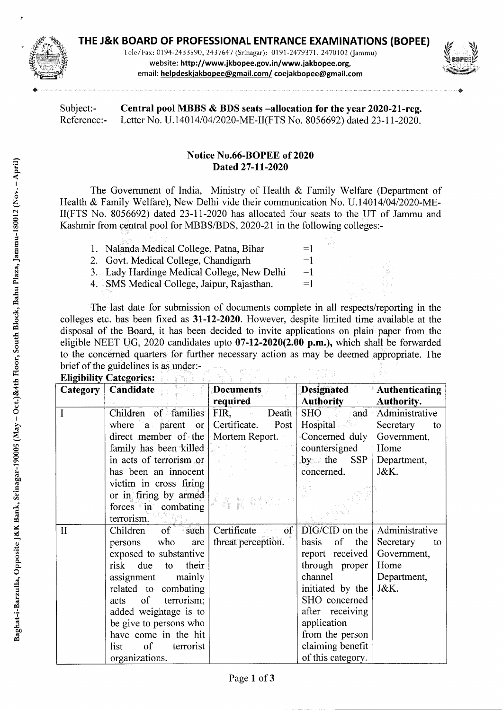

Tcic/Fax: 0194-2433590, 2437647 (Srrnagar): 0191-2479371, 2470102 (Jammu) website: http://www.jkbopee.gov.in/www.jakbopee.org, email: **helpdesk jakbopee@maiI.com/ coejakbopee@gmail.com** 



Subject:- **Central pool MBBS** & **BDS seats —allocation for the year 2020-21-reg.**  Reference:- Letter No. U.14014/04/2020-ME-II(FTS No. 8056692) dated 23-11-2020.

## **Notice No.66-BOPEE of 2020 Dated 27-11-2020**

The Government of India, Ministry of Health & Family Welfare (Department of Health & Family Welfare), New Delhi vide their communication No. U. 14014/04/2020-ME-II(FTS No. *8056692)* dated 23-11-2020 has allocated four seats to the UT of Jammu and Kashmir from central pool for MBBS/BDS, 2020-21 in the following colleges:-

| 1. Nalanda Medical College, Patna, Bihar    | $=1$ |
|---------------------------------------------|------|
| 2. Govt. Medical College, Chandigarh        | $=1$ |
| 3. Lady Hardinge Medical College, New Delhi | $=1$ |
| 4. SMS Medical College, Jaipur, Rajasthan.  | $=1$ |

The last date for submission of documents complete in all respects/reporting in the colleges etc. has been fixed as **31-12-2020.** However, despite limited time available at the disposal of the Board, it has been decided to invite applications on plain paper from the eligible NEET UG, 2020 candidates upto **07-12-2020(2.00 p.m.),** which shall be forwarded to the concerned quarters for further necessary action as may be deemed appropriate. The brief of the guidelines is as under:-

| <b>Eligibility Categories:</b> |                               |                           |                         |                       |  |  |
|--------------------------------|-------------------------------|---------------------------|-------------------------|-----------------------|--|--|
| <b>Category</b>                | Candidate                     | <b>Documents</b>          | <b>Designated</b>       | <b>Authenticating</b> |  |  |
|                                |                               | required                  | <b>Authority</b>        | <b>Authority.</b>     |  |  |
| $\mathbf I$                    | Children of families          | FIR, Death                | SHO <sub>3</sub><br>and | Administrative        |  |  |
|                                | where a parent or             | Certificate. Post         | Hospital                | Secretary<br>to       |  |  |
|                                | direct member of the          | Mortem Report.            | Concerned duly          | Government,           |  |  |
|                                | family has been killed        |                           | countersigned           | Home                  |  |  |
|                                | in acts of terrorism or       |                           | by the<br><b>SSP</b>    | Department,           |  |  |
|                                | has been an innocent          |                           | concerned.              | J&K.                  |  |  |
|                                | victim in cross firing        |                           |                         |                       |  |  |
|                                | or in firing by armed         |                           |                         |                       |  |  |
|                                | $forces$ in combating         |                           |                         |                       |  |  |
|                                | terrorism.                    |                           |                         |                       |  |  |
| $\mathbf{I}$                   | $\circ$ f<br>such<br>Children | Certificate<br>$\sigma$ f | $DIG/CID$ on the        | Administrative        |  |  |
|                                | who<br>are<br>persons         | threat perception.        | of the<br>basis         | Secretary<br>to       |  |  |
|                                | exposed to substantive        |                           | report received         | Government,           |  |  |
|                                | risk due<br>their<br>to.      |                           | through proper          | Home                  |  |  |
|                                | assignment mainly             |                           | channel                 | Department,           |  |  |
|                                | related to combating          |                           | initiated by the        | J&K.                  |  |  |
|                                | of<br>terrorism;<br>acts      |                           | SHO concerned           |                       |  |  |
|                                | added weightage is to         |                           | after receiving         |                       |  |  |
|                                | be give to persons who        |                           | application             |                       |  |  |
|                                | have come in the hit          |                           | from the person         |                       |  |  |
|                                | of<br>list<br>terrorist       |                           | claiming benefit        |                       |  |  |
|                                | organizations.                |                           | of this category.       |                       |  |  |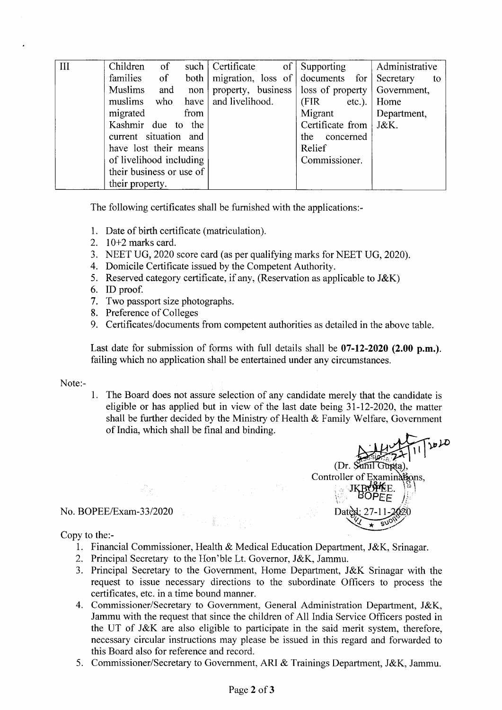| III | Children of              |            |             | such   Certificate | $\circ$ of | Supporting                       |        | Administrative                                      |    |
|-----|--------------------------|------------|-------------|--------------------|------------|----------------------------------|--------|-----------------------------------------------------|----|
|     | families                 | $\circ$ of | $both \mid$ |                    |            | migration, loss of documents for |        | Secretary                                           | to |
|     | <b>Muslims</b>           | and        | non         |                    |            |                                  |        | property, business   loss of property   Government, |    |
|     | muslims who              |            | have        | and livelihood.    |            | (FIR                             | etc.). | Home                                                |    |
|     | migrated                 |            | from        |                    |            | Migrant                          |        | Department,                                         |    |
|     | Kashmir due to the       |            |             |                    |            | Certificate from                 |        | J&K.                                                |    |
|     | current situation and    |            |             |                    |            | the concerned                    |        |                                                     |    |
|     | have lost their means    |            |             |                    |            | Relief                           |        |                                                     |    |
|     | of livelihood including  |            |             |                    |            | Commissioner.                    |        |                                                     |    |
|     | their business or use of |            |             |                    |            |                                  |        |                                                     |    |
|     | their property.          |            |             |                    |            |                                  |        |                                                     |    |

The following certificates shall be furnished with the applications:-

- 1. Date of birth certificate (matriculation).
- 2.  $10+2$  marks card.
- 3. NEET UG, 2020 score card (as per qualifying marks for NEET UG, 2020).
- 4. Domicile Certificate issued by the Competent Authority.
- 5. Reserved category certificate, if any, (Reservation as applicable to J&K)
- 6. ID proof.
- 7. Two passport size photographs.
- 8. Preference of Colleges
- 9. Certificates/documents from competent authorities as detailed in the above table.

Last date for submission of forms with full details shall be **07-12-2020 (2.00 p.m.)**. failing which no application shall be entertained under any circumstances.

Note:-

1. The Board does not assure selection of any candidate merely that the candidate is eligible or has applied but in view of the last date being 31-12-2020, the matter shall be further decided by the Ministry of Health & Family Welfare, Government of India, which shall be final and binding.

**(Dr. Sunil Gunta),** Controller of Examinations,  $J<sub>1</sub>$ *OPEE )*  Dated

## No. BOPEE/Exam-33/2020

Copy to the:-

- 1. Financial Commissioner, Health & Medical Education Department, J&K, Srinagar.
- 2. Principal Secretary to the Hon'ble Lt. Governor, J&K, Jammu.
- 3. Principal Secretary to the Government, Home Department, J&K Srinagar with the request to issue necessary directions to the subordinate Officers to process the certificates, etc. in a time bound manner.
- 4. Commissioner/Secretary to Government, General Administration Department, J&K, Jammu with the request that since the children of All India Service Officers posted in the UT of J&K are also eligible to participate in the said merit system, therefore, necessary circular instructions may please be issued in this regard and forwarded to this Board also for reference and record.
- 5. Commissioner/Secretary to Government, ART & Trainings Department, J&K, Jammu.